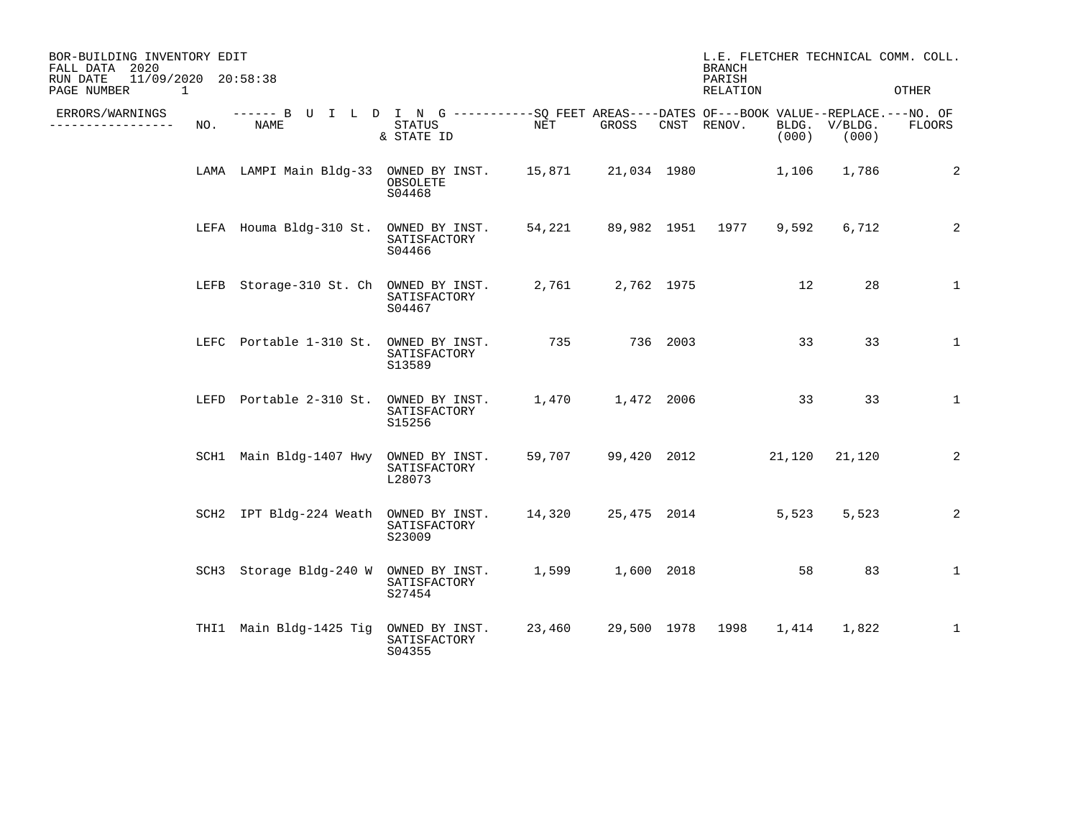| BOR-BUILDING INVENTORY EDIT<br>FALL DATA 2020<br>11/09/2020 20:58:38<br>RUN DATE<br>PAGE NUMBER<br>1 |     |                                                                                                    |                                          |        |                      | <b>BRANCH</b><br>PARISH<br>RELATION |                         |       | L.E. FLETCHER TECHNICAL COMM. COLL.<br>OTHER |              |
|------------------------------------------------------------------------------------------------------|-----|----------------------------------------------------------------------------------------------------|------------------------------------------|--------|----------------------|-------------------------------------|-------------------------|-------|----------------------------------------------|--------------|
| ERRORS/WARNINGS<br>--------------                                                                    | NO. | ------ B U I L D I N G ----------SO FEET AREAS----DATES OF---BOOK VALUE--REPLACE.---NO. OF<br>NAME | STATUS<br>& STATE ID                     | NET    | GROSS                |                                     | CNST RENOV.             | (000) | BLDG. V/BLDG.<br>(000)                       | FLOORS       |
|                                                                                                      |     | LAMA LAMPI Main Bldg-33 OWNED BY INST. 15,871 21,034 1980                                          | OBSOLETE<br>S04468                       |        |                      |                                     |                         | 1,106 | 1,786                                        | 2            |
|                                                                                                      |     | LEFA Houma Bldg-310 St.                                                                            | OWNED BY INST.<br>SATISFACTORY<br>S04466 |        |                      |                                     | 54,221 89,982 1951 1977 | 9,592 | 6,712                                        | 2            |
|                                                                                                      |     | LEFB Storage-310 St. Ch OWNED BY INST.                                                             | SATISFACTORY<br>S04467                   |        | 2,761 2,762 1975     |                                     |                         | 12    | 28                                           | $\mathbf{1}$ |
|                                                                                                      |     | LEFC Portable 1-310 St.                                                                            | OWNED BY INST.<br>SATISFACTORY<br>S13589 | 735    |                      | 736 2003                            |                         | 33    | 33                                           | $\mathbf{1}$ |
|                                                                                                      |     | LEFD Portable 2-310 St. OWNED BY INST.                                                             | SATISFACTORY<br>S15256                   |        | 1,470   1,472   2006 |                                     |                         | 33    | 33                                           | $\mathbf{1}$ |
|                                                                                                      |     | SCH1 Main Bldg-1407 Hwy OWNED BY INST.                                                             | SATISFACTORY<br>L28073                   | 59,707 |                      |                                     | 99,420 2012 21,120      |       | 21,120                                       | 2            |
|                                                                                                      |     | SCH2 IPT Bldg-224 Weath OWNED BY INST.                                                             | SATISFACTORY<br>S23009                   |        |                      |                                     | 14,320 25,475 2014      | 5,523 | 5,523                                        | 2            |
|                                                                                                      |     | SCH3 Storage Bldg-240 W OWNED BY INST.                                                             | SATISFACTORY<br>S27454                   |        | 1,599 1,600 2018     |                                     |                         | 58    | 83                                           | $\mathbf{1}$ |
|                                                                                                      |     | THI1 Main Bldg-1425 Tig                                                                            | OWNED BY INST.<br>SATISFACTORY<br>S04355 | 23,460 | 29,500 1978 1998     |                                     |                         | 1,414 | 1,822                                        | $\mathbf{1}$ |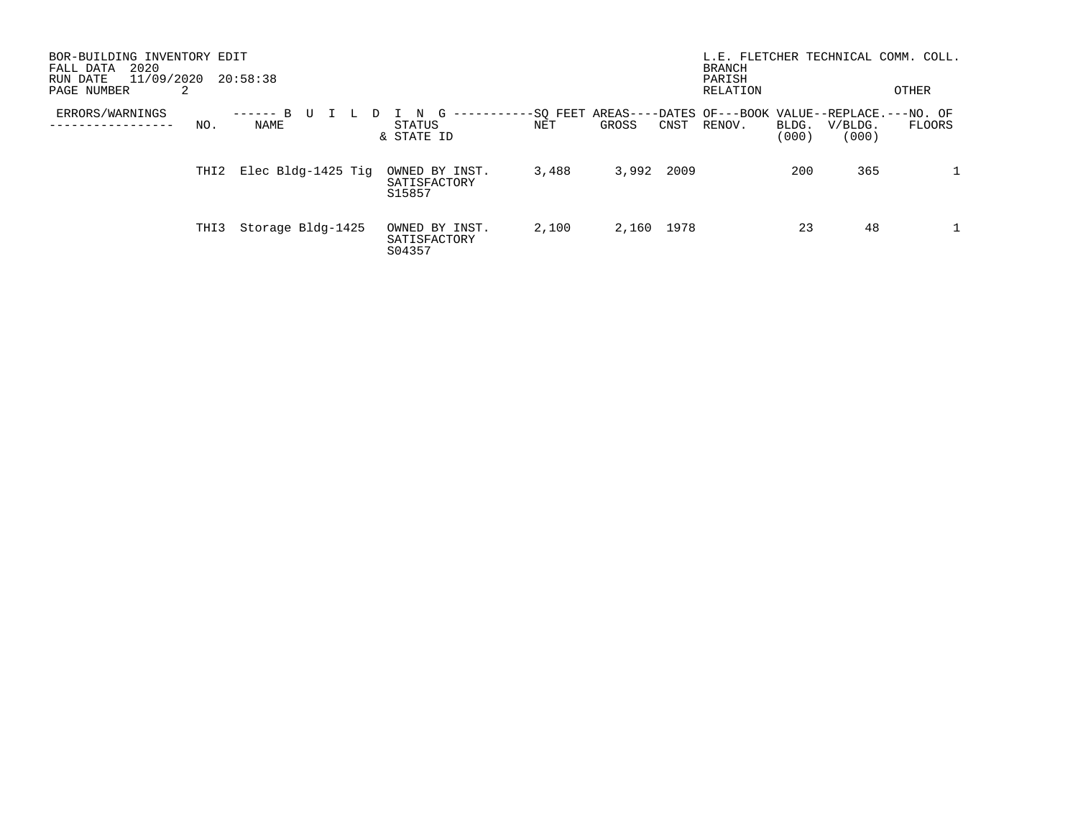| BOR-BUILDING INVENTORY EDIT<br>2020<br>FALL DATA<br>11/09/2020<br>20:58:38<br>RUN DATE<br>PAGE NUMBER<br>2 |                    |                                          |                 |            |      |                                                             | L.E. FLETCHER TECHNICAL COMM.<br><b>BRANCH</b><br>PARISH<br>RELATION |                  |              |
|------------------------------------------------------------------------------------------------------------|--------------------|------------------------------------------|-----------------|------------|------|-------------------------------------------------------------|----------------------------------------------------------------------|------------------|--------------|
| ERRORS/WARNINGS<br>NO.<br>-------                                                                          | NAME               | STATUS<br>& STATE ID                     | -SO FEET<br>NET | GROSS      | CNST | AREAS----DATES OF---BOOK VALUE--REPLACE.---NO. OF<br>RENOV. | BLDG.<br>(000)                                                       | V/BLDG.<br>(000) | FLOORS       |
| THI2                                                                                                       | Elec Bldg-1425 Tig | OWNED BY INST.<br>SATISFACTORY<br>S15857 | 3,488           | 3,992      | 2009 |                                                             | 200                                                                  | 365              | $\mathbf{1}$ |
| THI3                                                                                                       | Storage Bldg-1425  | OWNED BY INST.<br>SATISFACTORY<br>S04357 | 2,100           | 2,160 1978 |      |                                                             | 23                                                                   | 48               |              |